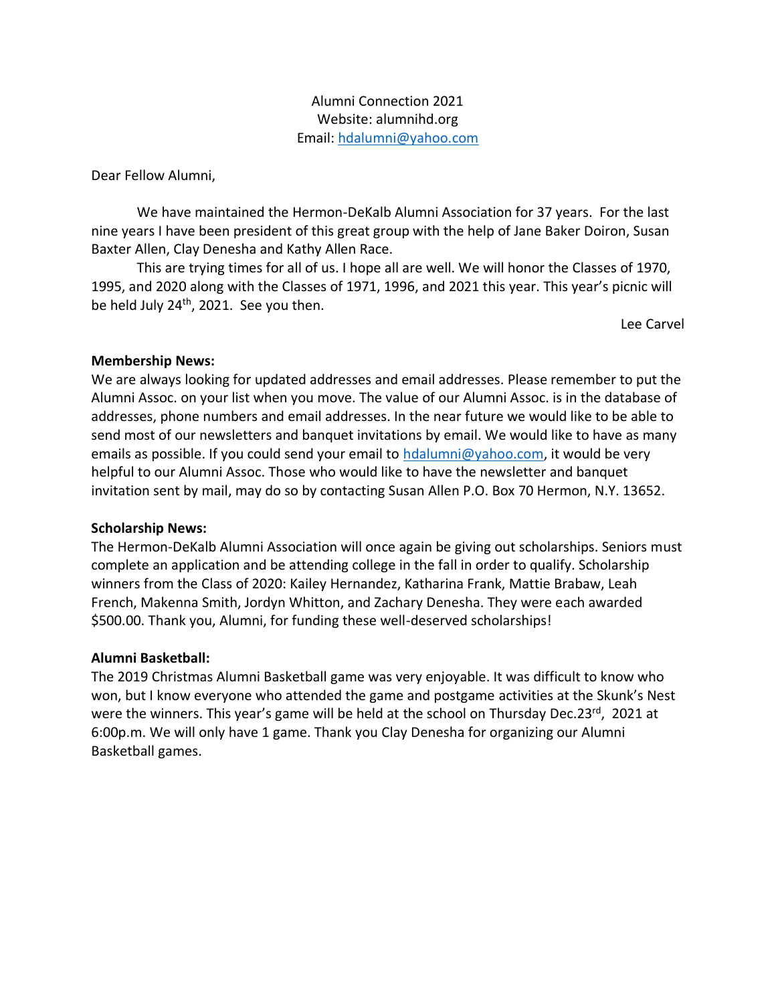Alumni Connection 2021 Website: alumnihd.org Email: [hdalumni@yahoo.com](mailto:hdalumni@yahoo.com)

Dear Fellow Alumni,

We have maintained the Hermon-DeKalb Alumni Association for 37 years. For the last nine years I have been president of this great group with the help of Jane Baker Doiron, Susan Baxter Allen, Clay Denesha and Kathy Allen Race.

This are trying times for all of us. I hope all are well. We will honor the Classes of 1970, 1995, and 2020 along with the Classes of 1971, 1996, and 2021 this year. This year's picnic will be held July  $24<sup>th</sup>$ , 2021. See you then.

Lee Carvel

## **Membership News:**

We are always looking for updated addresses and email addresses. Please remember to put the Alumni Assoc. on your list when you move. The value of our Alumni Assoc. is in the database of addresses, phone numbers and email addresses. In the near future we would like to be able to send most of our newsletters and banquet invitations by email. We would like to have as many emails as possible. If you could send your email to [hdalumni@yahoo.com,](mailto:hdalumni@yahoo.com) it would be very helpful to our Alumni Assoc. Those who would like to have the newsletter and banquet invitation sent by mail, may do so by contacting Susan Allen P.O. Box 70 Hermon, N.Y. 13652.

## **Scholarship News:**

The Hermon-DeKalb Alumni Association will once again be giving out scholarships. Seniors must complete an application and be attending college in the fall in order to qualify. Scholarship winners from the Class of 2020: Kailey Hernandez, Katharina Frank, Mattie Brabaw, Leah French, Makenna Smith, Jordyn Whitton, and Zachary Denesha. They were each awarded \$500.00. Thank you, Alumni, for funding these well-deserved scholarships!

#### **Alumni Basketball:**

The 2019 Christmas Alumni Basketball game was very enjoyable. It was difficult to know who won, but I know everyone who attended the game and postgame activities at the Skunk's Nest were the winners. This year's game will be held at the school on Thursday Dec.23<sup>rd</sup>, 2021 at 6:00p.m. We will only have 1 game. Thank you Clay Denesha for organizing our Alumni Basketball games.